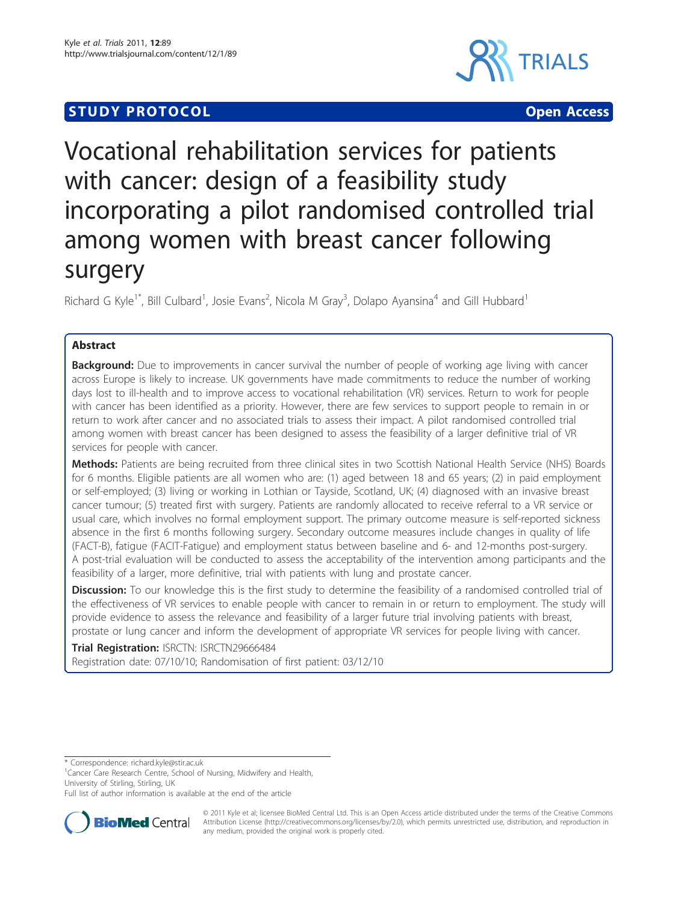# **STUDY PROTOCOL CONSUMING ACCESS**



# Vocational rehabilitation services for patients with cancer: design of a feasibility study incorporating a pilot randomised controlled trial among women with breast cancer following surgery

Richard G Kyle<sup>1\*</sup>, Bill Culbard<sup>1</sup>, Josie Evans<sup>2</sup>, Nicola M Gray<sup>3</sup>, Dolapo Ayansina<sup>4</sup> and Gill Hubbard<sup>1</sup>

# Abstract

**Background:** Due to improvements in cancer survival the number of people of working age living with cancer across Europe is likely to increase. UK governments have made commitments to reduce the number of working days lost to ill-health and to improve access to vocational rehabilitation (VR) services. Return to work for people with cancer has been identified as a priority. However, there are few services to support people to remain in or return to work after cancer and no associated trials to assess their impact. A pilot randomised controlled trial among women with breast cancer has been designed to assess the feasibility of a larger definitive trial of VR services for people with cancer.

Methods: Patients are being recruited from three clinical sites in two Scottish National Health Service (NHS) Boards for 6 months. Eligible patients are all women who are: (1) aged between 18 and 65 years; (2) in paid employment or self-employed; (3) living or working in Lothian or Tayside, Scotland, UK; (4) diagnosed with an invasive breast cancer tumour; (5) treated first with surgery. Patients are randomly allocated to receive referral to a VR service or usual care, which involves no formal employment support. The primary outcome measure is self-reported sickness absence in the first 6 months following surgery. Secondary outcome measures include changes in quality of life (FACT-B), fatigue (FACIT-Fatigue) and employment status between baseline and 6- and 12-months post-surgery. A post-trial evaluation will be conducted to assess the acceptability of the intervention among participants and the feasibility of a larger, more definitive, trial with patients with lung and prostate cancer.

Discussion: To our knowledge this is the first study to determine the feasibility of a randomised controlled trial of the effectiveness of VR services to enable people with cancer to remain in or return to employment. The study will provide evidence to assess the relevance and feasibility of a larger future trial involving patients with breast, prostate or lung cancer and inform the development of appropriate VR services for people living with cancer.

Trial Registration: ISRCTN: [ISRCTN29666484](http://www.controlled-trials.com/ISRCTN29666484) Registration date: 07/10/10; Randomisation of first patient: 03/12/10

\* Correspondence: [richard.kyle@stir.ac.uk](mailto:richard.kyle@stir.ac.uk)

<sup>1</sup> Cancer Care Research Centre, School of Nursing, Midwifery and Health, University of Stirling, Stirling, UK

Full list of author information is available at the end of the article



© 2011 Kyle et al; licensee BioMed Central Ltd. This is an Open Access article distributed under the terms of the Creative Commons Attribution License [\(http://creativecommons.org/licenses/by/2.0](http://creativecommons.org/licenses/by/2.0)), which permits unrestricted use, distribution, and reproduction in any medium, provided the original work is properly cited.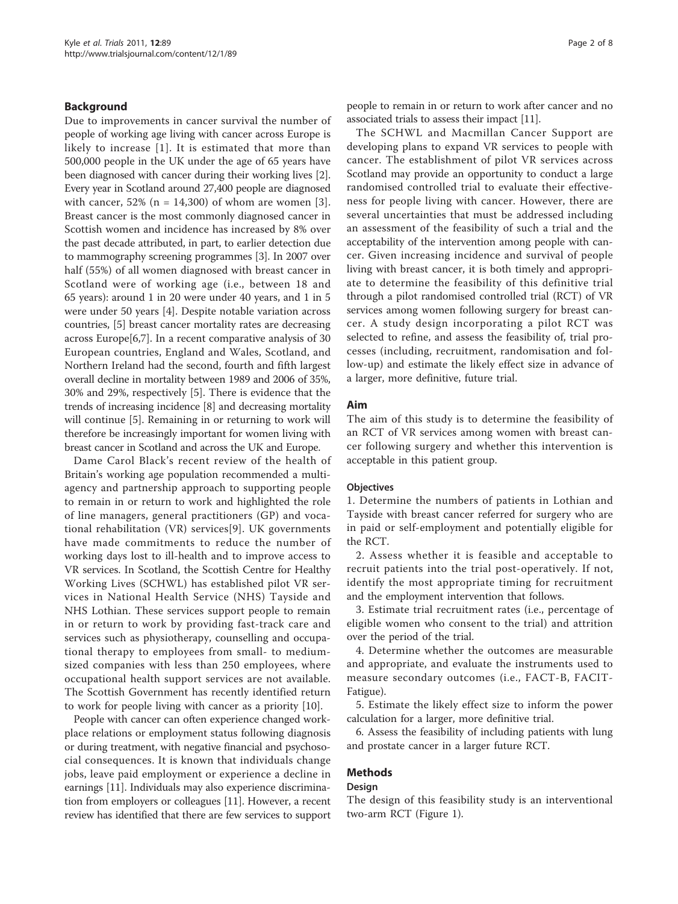#### Background

Due to improvements in cancer survival the number of people of working age living with cancer across Europe is likely to increase [[1](#page-7-0)]. It is estimated that more than 500,000 people in the UK under the age of 65 years have been diagnosed with cancer during their working lives [[2](#page-7-0)]. Every year in Scotland around 27,400 people are diagnosed with cancer, 52% ( $n = 14,300$  $n = 14,300$  $n = 14,300$ ) of whom are women [3]. Breast cancer is the most commonly diagnosed cancer in Scottish women and incidence has increased by 8% over the past decade attributed, in part, to earlier detection due to mammography screening programmes [\[3](#page-7-0)]. In 2007 over half (55%) of all women diagnosed with breast cancer in Scotland were of working age (i.e., between 18 and 65 years): around 1 in 20 were under 40 years, and 1 in 5 were under 50 years [[4\]](#page-7-0). Despite notable variation across countries, [[5](#page-7-0)] breast cancer mortality rates are decreasing across Europe[[6,7\]](#page-7-0). In a recent comparative analysis of 30 European countries, England and Wales, Scotland, and Northern Ireland had the second, fourth and fifth largest overall decline in mortality between 1989 and 2006 of 35%, 30% and 29%, respectively [\[5](#page-7-0)]. There is evidence that the trends of increasing incidence [[8](#page-7-0)] and decreasing mortality will continue [[5](#page-7-0)]. Remaining in or returning to work will therefore be increasingly important for women living with breast cancer in Scotland and across the UK and Europe.

Dame Carol Black's recent review of the health of Britain's working age population recommended a multiagency and partnership approach to supporting people to remain in or return to work and highlighted the role of line managers, general practitioners (GP) and vocational rehabilitation (VR) services[\[9](#page-7-0)]. UK governments have made commitments to reduce the number of working days lost to ill-health and to improve access to VR services. In Scotland, the Scottish Centre for Healthy Working Lives (SCHWL) has established pilot VR services in National Health Service (NHS) Tayside and NHS Lothian. These services support people to remain in or return to work by providing fast-track care and services such as physiotherapy, counselling and occupational therapy to employees from small- to mediumsized companies with less than 250 employees, where occupational health support services are not available. The Scottish Government has recently identified return to work for people living with cancer as a priority [[10](#page-7-0)].

People with cancer can often experience changed workplace relations or employment status following diagnosis or during treatment, with negative financial and psychosocial consequences. It is known that individuals change jobs, leave paid employment or experience a decline in earnings [\[11](#page-7-0)]. Individuals may also experience discrimination from employers or colleagues [[11\]](#page-7-0). However, a recent review has identified that there are few services to support

people to remain in or return to work after cancer and no associated trials to assess their impact [[11](#page-7-0)].

The SCHWL and Macmillan Cancer Support are developing plans to expand VR services to people with cancer. The establishment of pilot VR services across Scotland may provide an opportunity to conduct a large randomised controlled trial to evaluate their effectiveness for people living with cancer. However, there are several uncertainties that must be addressed including an assessment of the feasibility of such a trial and the acceptability of the intervention among people with cancer. Given increasing incidence and survival of people living with breast cancer, it is both timely and appropriate to determine the feasibility of this definitive trial through a pilot randomised controlled trial (RCT) of VR services among women following surgery for breast cancer. A study design incorporating a pilot RCT was selected to refine, and assess the feasibility of, trial processes (including, recruitment, randomisation and follow-up) and estimate the likely effect size in advance of a larger, more definitive, future trial.

#### Aim

The aim of this study is to determine the feasibility of an RCT of VR services among women with breast cancer following surgery and whether this intervention is acceptable in this patient group.

#### **Objectives**

1. Determine the numbers of patients in Lothian and Tayside with breast cancer referred for surgery who are in paid or self-employment and potentially eligible for the RCT.

2. Assess whether it is feasible and acceptable to recruit patients into the trial post-operatively. If not, identify the most appropriate timing for recruitment and the employment intervention that follows.

3. Estimate trial recruitment rates (i.e., percentage of eligible women who consent to the trial) and attrition over the period of the trial.

4. Determine whether the outcomes are measurable and appropriate, and evaluate the instruments used to measure secondary outcomes (i.e., FACT-B, FACIT-Fatigue).

5. Estimate the likely effect size to inform the power calculation for a larger, more definitive trial.

6. Assess the feasibility of including patients with lung and prostate cancer in a larger future RCT.

# Methods

#### Design

The design of this feasibility study is an interventional two-arm RCT (Figure [1](#page-2-0)).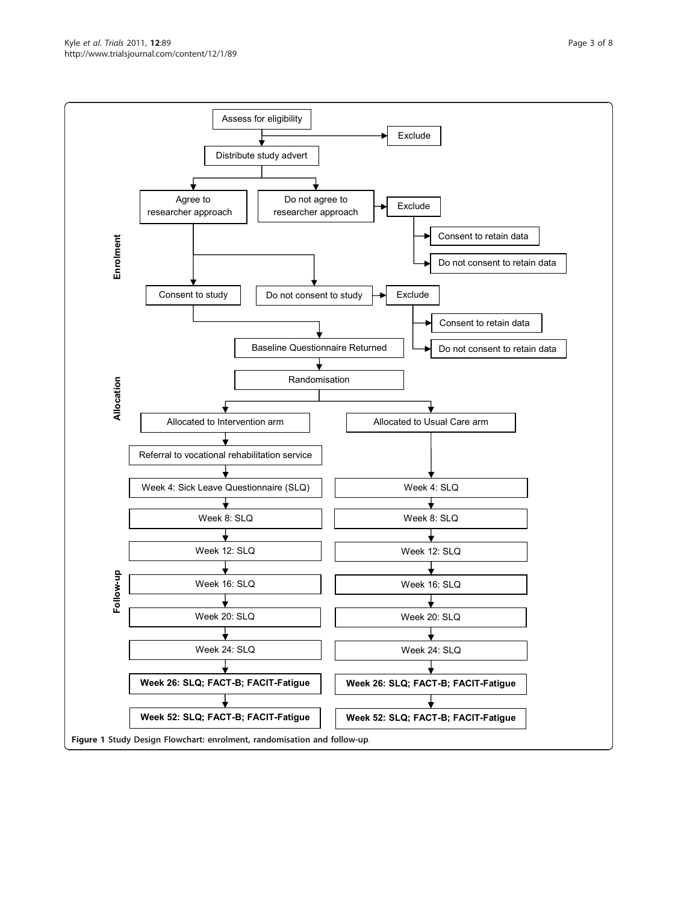<span id="page-2-0"></span>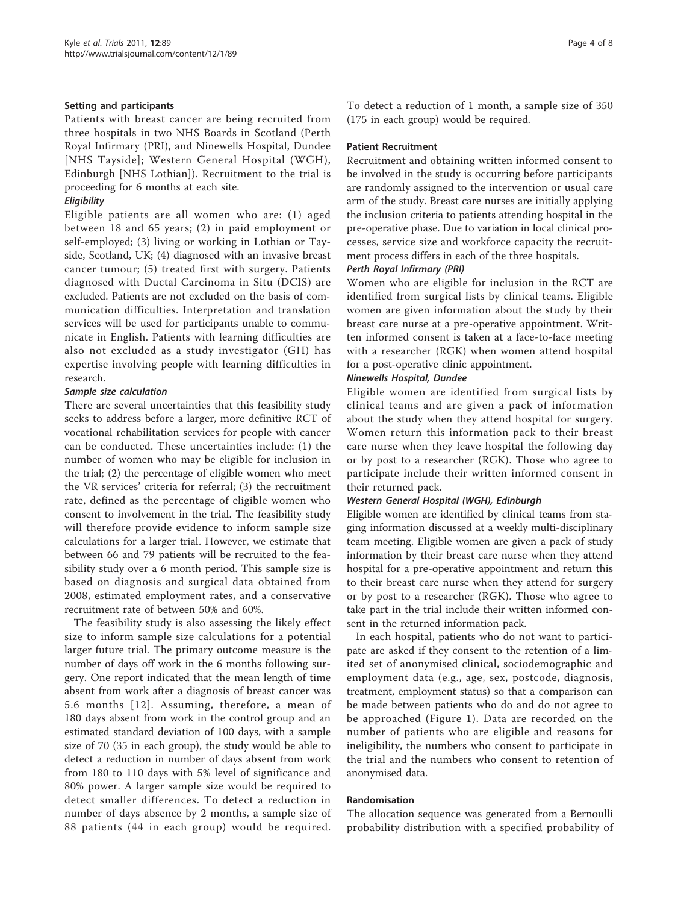#### Setting and participants

Patients with breast cancer are being recruited from three hospitals in two NHS Boards in Scotland (Perth Royal Infirmary (PRI), and Ninewells Hospital, Dundee [NHS Tayside]; Western General Hospital (WGH), Edinburgh [NHS Lothian]). Recruitment to the trial is proceeding for 6 months at each site.

# **Eligibility**

Eligible patients are all women who are: (1) aged between 18 and 65 years; (2) in paid employment or self-employed; (3) living or working in Lothian or Tayside, Scotland, UK; (4) diagnosed with an invasive breast cancer tumour; (5) treated first with surgery. Patients diagnosed with Ductal Carcinoma in Situ (DCIS) are excluded. Patients are not excluded on the basis of communication difficulties. Interpretation and translation services will be used for participants unable to communicate in English. Patients with learning difficulties are also not excluded as a study investigator (GH) has expertise involving people with learning difficulties in research.

#### Sample size calculation

There are several uncertainties that this feasibility study seeks to address before a larger, more definitive RCT of vocational rehabilitation services for people with cancer can be conducted. These uncertainties include: (1) the number of women who may be eligible for inclusion in the trial; (2) the percentage of eligible women who meet the VR services' criteria for referral; (3) the recruitment rate, defined as the percentage of eligible women who consent to involvement in the trial. The feasibility study will therefore provide evidence to inform sample size calculations for a larger trial. However, we estimate that between 66 and 79 patients will be recruited to the feasibility study over a 6 month period. This sample size is based on diagnosis and surgical data obtained from 2008, estimated employment rates, and a conservative recruitment rate of between 50% and 60%.

The feasibility study is also assessing the likely effect size to inform sample size calculations for a potential larger future trial. The primary outcome measure is the number of days off work in the 6 months following surgery. One report indicated that the mean length of time absent from work after a diagnosis of breast cancer was 5.6 months [[12](#page-7-0)]. Assuming, therefore, a mean of 180 days absent from work in the control group and an estimated standard deviation of 100 days, with a sample size of 70 (35 in each group), the study would be able to detect a reduction in number of days absent from work from 180 to 110 days with 5% level of significance and 80% power. A larger sample size would be required to detect smaller differences. To detect a reduction in number of days absence by 2 months, a sample size of 88 patients (44 in each group) would be required.

To detect a reduction of 1 month, a sample size of 350 (175 in each group) would be required.

#### Patient Recruitment

Recruitment and obtaining written informed consent to be involved in the study is occurring before participants are randomly assigned to the intervention or usual care arm of the study. Breast care nurses are initially applying the inclusion criteria to patients attending hospital in the pre-operative phase. Due to variation in local clinical processes, service size and workforce capacity the recruitment process differs in each of the three hospitals.

#### Perth Royal Infirmary (PRI)

Women who are eligible for inclusion in the RCT are identified from surgical lists by clinical teams. Eligible women are given information about the study by their breast care nurse at a pre-operative appointment. Written informed consent is taken at a face-to-face meeting with a researcher (RGK) when women attend hospital for a post-operative clinic appointment.

#### Ninewells Hospital, Dundee

Eligible women are identified from surgical lists by clinical teams and are given a pack of information about the study when they attend hospital for surgery. Women return this information pack to their breast care nurse when they leave hospital the following day or by post to a researcher (RGK). Those who agree to participate include their written informed consent in their returned pack.

# Western General Hospital (WGH), Edinburgh

Eligible women are identified by clinical teams from staging information discussed at a weekly multi-disciplinary team meeting. Eligible women are given a pack of study information by their breast care nurse when they attend hospital for a pre-operative appointment and return this to their breast care nurse when they attend for surgery or by post to a researcher (RGK). Those who agree to take part in the trial include their written informed consent in the returned information pack.

In each hospital, patients who do not want to participate are asked if they consent to the retention of a limited set of anonymised clinical, sociodemographic and employment data (e.g., age, sex, postcode, diagnosis, treatment, employment status) so that a comparison can be made between patients who do and do not agree to be approached (Figure [1\)](#page-2-0). Data are recorded on the number of patients who are eligible and reasons for ineligibility, the numbers who consent to participate in the trial and the numbers who consent to retention of anonymised data.

# Randomisation

The allocation sequence was generated from a Bernoulli probability distribution with a specified probability of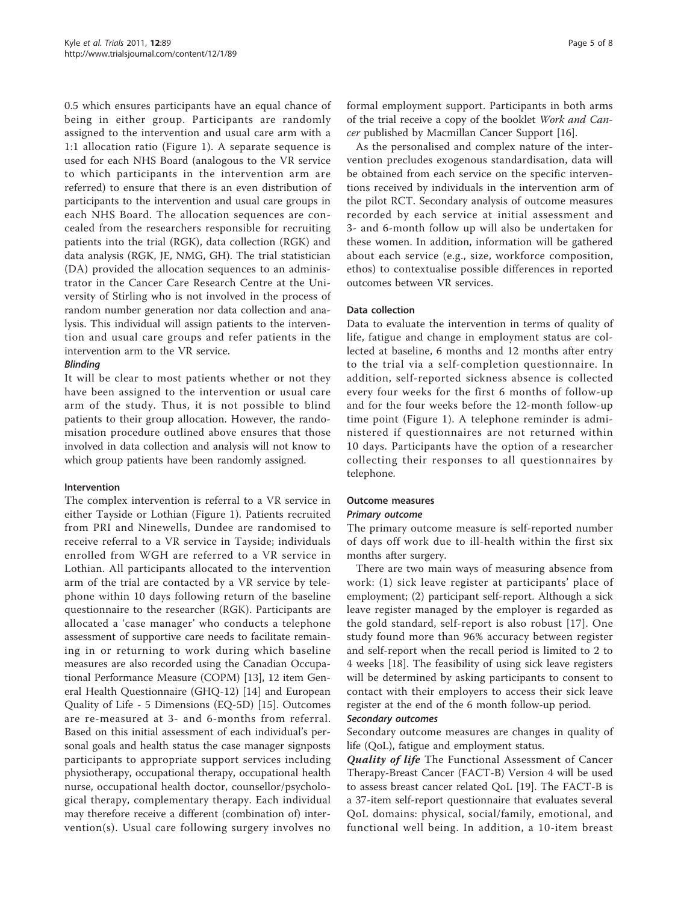0.5 which ensures participants have an equal chance of being in either group. Participants are randomly assigned to the intervention and usual care arm with a 1:1 allocation ratio (Figure [1\)](#page-2-0). A separate sequence is used for each NHS Board (analogous to the VR service to which participants in the intervention arm are referred) to ensure that there is an even distribution of participants to the intervention and usual care groups in each NHS Board. The allocation sequences are concealed from the researchers responsible for recruiting patients into the trial (RGK), data collection (RGK) and data analysis (RGK, JE, NMG, GH). The trial statistician (DA) provided the allocation sequences to an administrator in the Cancer Care Research Centre at the University of Stirling who is not involved in the process of random number generation nor data collection and analysis. This individual will assign patients to the intervention and usual care groups and refer patients in the intervention arm to the VR service.

#### Blinding

It will be clear to most patients whether or not they have been assigned to the intervention or usual care arm of the study. Thus, it is not possible to blind patients to their group allocation. However, the randomisation procedure outlined above ensures that those involved in data collection and analysis will not know to which group patients have been randomly assigned.

#### Intervention

The complex intervention is referral to a VR service in either Tayside or Lothian (Figure [1\)](#page-2-0). Patients recruited from PRI and Ninewells, Dundee are randomised to receive referral to a VR service in Tayside; individuals enrolled from WGH are referred to a VR service in Lothian. All participants allocated to the intervention arm of the trial are contacted by a VR service by telephone within 10 days following return of the baseline questionnaire to the researcher (RGK). Participants are allocated a 'case manager' who conducts a telephone assessment of supportive care needs to facilitate remaining in or returning to work during which baseline measures are also recorded using the Canadian Occupational Performance Measure (COPM) [\[13](#page-7-0)], 12 item General Health Questionnaire (GHQ-12) [[14](#page-7-0)] and European Quality of Life - 5 Dimensions (EQ-5D) [[15\]](#page-7-0). Outcomes are re-measured at 3- and 6-months from referral. Based on this initial assessment of each individual's personal goals and health status the case manager signposts participants to appropriate support services including physiotherapy, occupational therapy, occupational health nurse, occupational health doctor, counsellor/psychological therapy, complementary therapy. Each individual may therefore receive a different (combination of) intervention(s). Usual care following surgery involves no formal employment support. Participants in both arms of the trial receive a copy of the booklet Work and Cancer published by Macmillan Cancer Support [\[16](#page-7-0)].

As the personalised and complex nature of the intervention precludes exogenous standardisation, data will be obtained from each service on the specific interventions received by individuals in the intervention arm of the pilot RCT. Secondary analysis of outcome measures recorded by each service at initial assessment and 3- and 6-month follow up will also be undertaken for these women. In addition, information will be gathered about each service (e.g., size, workforce composition, ethos) to contextualise possible differences in reported outcomes between VR services.

#### Data collection

Data to evaluate the intervention in terms of quality of life, fatigue and change in employment status are collected at baseline, 6 months and 12 months after entry to the trial via a self-completion questionnaire. In addition, self-reported sickness absence is collected every four weeks for the first 6 months of follow-up and for the four weeks before the 12-month follow-up time point (Figure [1\)](#page-2-0). A telephone reminder is administered if questionnaires are not returned within 10 days. Participants have the option of a researcher collecting their responses to all questionnaires by telephone.

#### Outcome measures

#### Primary outcome

The primary outcome measure is self-reported number of days off work due to ill-health within the first six months after surgery.

There are two main ways of measuring absence from work: (1) sick leave register at participants' place of employment; (2) participant self-report. Although a sick leave register managed by the employer is regarded as the gold standard, self-report is also robust [[17](#page-7-0)]. One study found more than 96% accuracy between register and self-report when the recall period is limited to 2 to 4 weeks [[18\]](#page-7-0). The feasibility of using sick leave registers will be determined by asking participants to consent to contact with their employers to access their sick leave register at the end of the 6 month follow-up period.

#### Secondary outcomes

Secondary outcome measures are changes in quality of life (QoL), fatigue and employment status.

**Quality of life** The Functional Assessment of Cancer Therapy-Breast Cancer (FACT-B) Version 4 will be used to assess breast cancer related QoL [[19](#page-7-0)]. The FACT-B is a 37-item self-report questionnaire that evaluates several QoL domains: physical, social/family, emotional, and functional well being. In addition, a 10-item breast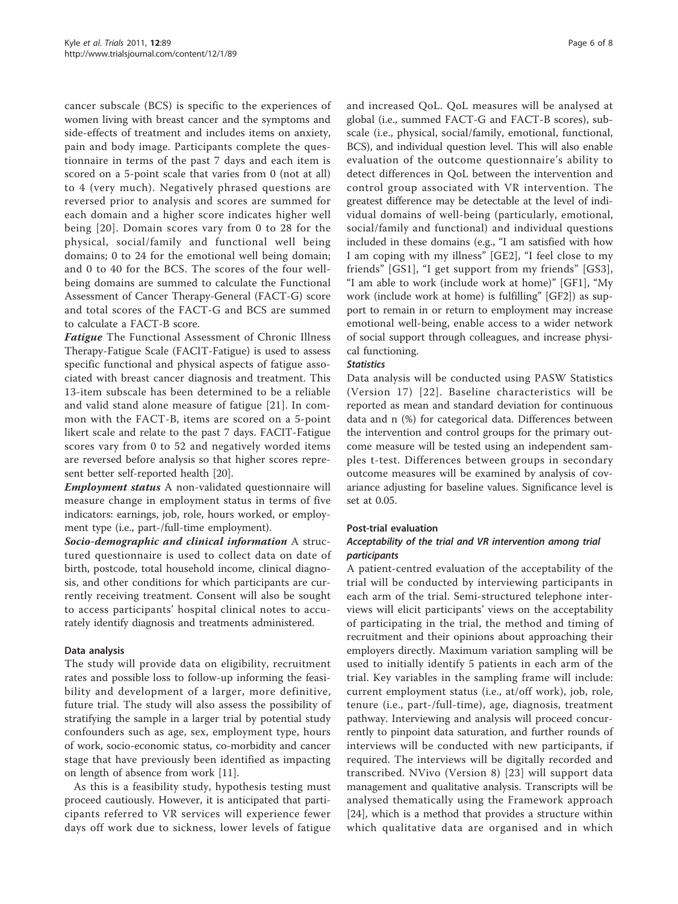cancer subscale (BCS) is specific to the experiences of women living with breast cancer and the symptoms and side-effects of treatment and includes items on anxiety, pain and body image. Participants complete the questionnaire in terms of the past 7 days and each item is scored on a 5-point scale that varies from 0 (not at all) to 4 (very much). Negatively phrased questions are reversed prior to analysis and scores are summed for each domain and a higher score indicates higher well being [[20](#page-7-0)]. Domain scores vary from 0 to 28 for the physical, social/family and functional well being domains; 0 to 24 for the emotional well being domain; and 0 to 40 for the BCS. The scores of the four wellbeing domains are summed to calculate the Functional Assessment of Cancer Therapy-General (FACT-G) score and total scores of the FACT-G and BCS are summed to calculate a FACT-B score.

Fatigue The Functional Assessment of Chronic Illness Therapy-Fatigue Scale (FACIT-Fatigue) is used to assess specific functional and physical aspects of fatigue associated with breast cancer diagnosis and treatment. This 13-item subscale has been determined to be a reliable and valid stand alone measure of fatigue [[21](#page-7-0)]. In common with the FACT-B, items are scored on a 5-point likert scale and relate to the past 7 days. FACIT-Fatigue scores vary from 0 to 52 and negatively worded items are reversed before analysis so that higher scores represent better self-reported health [\[20\]](#page-7-0).

**Employment status** A non-validated questionnaire will measure change in employment status in terms of five indicators: earnings, job, role, hours worked, or employment type (i.e., part-/full-time employment).

Socio-demographic and clinical information A structured questionnaire is used to collect data on date of birth, postcode, total household income, clinical diagnosis, and other conditions for which participants are currently receiving treatment. Consent will also be sought to access participants' hospital clinical notes to accurately identify diagnosis and treatments administered.

# Data analysis

The study will provide data on eligibility, recruitment rates and possible loss to follow-up informing the feasibility and development of a larger, more definitive, future trial. The study will also assess the possibility of stratifying the sample in a larger trial by potential study confounders such as age, sex, employment type, hours of work, socio-economic status, co-morbidity and cancer stage that have previously been identified as impacting on length of absence from work [\[11\]](#page-7-0).

As this is a feasibility study, hypothesis testing must proceed cautiously. However, it is anticipated that participants referred to VR services will experience fewer days off work due to sickness, lower levels of fatigue and increased QoL. QoL measures will be analysed at global (i.e., summed FACT-G and FACT-B scores), subscale (i.e., physical, social/family, emotional, functional, BCS), and individual question level. This will also enable evaluation of the outcome questionnaire's ability to detect differences in QoL between the intervention and control group associated with VR intervention. The greatest difference may be detectable at the level of individual domains of well-being (particularly, emotional, social/family and functional) and individual questions included in these domains (e.g., "I am satisfied with how I am coping with my illness" [GE2], "I feel close to my friends" [GS1], "I get support from my friends" [GS3], "I am able to work (include work at home)" [GF1], "My work (include work at home) is fulfilling" [GF2]) as support to remain in or return to employment may increase emotional well-being, enable access to a wider network of social support through colleagues, and increase physical functioning.

# **Statistics**

Data analysis will be conducted using PASW Statistics (Version 17) [[22\]](#page-7-0). Baseline characteristics will be reported as mean and standard deviation for continuous data and n (%) for categorical data. Differences between the intervention and control groups for the primary outcome measure will be tested using an independent samples t-test. Differences between groups in secondary outcome measures will be examined by analysis of covariance adjusting for baseline values. Significance level is set at 0.05.

# Post-trial evaluation

# Acceptability of the trial and VR intervention among trial participants

A patient-centred evaluation of the acceptability of the trial will be conducted by interviewing participants in each arm of the trial. Semi-structured telephone interviews will elicit participants' views on the acceptability of participating in the trial, the method and timing of recruitment and their opinions about approaching their employers directly. Maximum variation sampling will be used to initially identify 5 patients in each arm of the trial. Key variables in the sampling frame will include: current employment status (i.e., at/off work), job, role, tenure (i.e., part-/full-time), age, diagnosis, treatment pathway. Interviewing and analysis will proceed concurrently to pinpoint data saturation, and further rounds of interviews will be conducted with new participants, if required. The interviews will be digitally recorded and transcribed. NVivo (Version 8) [[23](#page-7-0)] will support data management and qualitative analysis. Transcripts will be analysed thematically using the Framework approach [[24\]](#page-7-0), which is a method that provides a structure within which qualitative data are organised and in which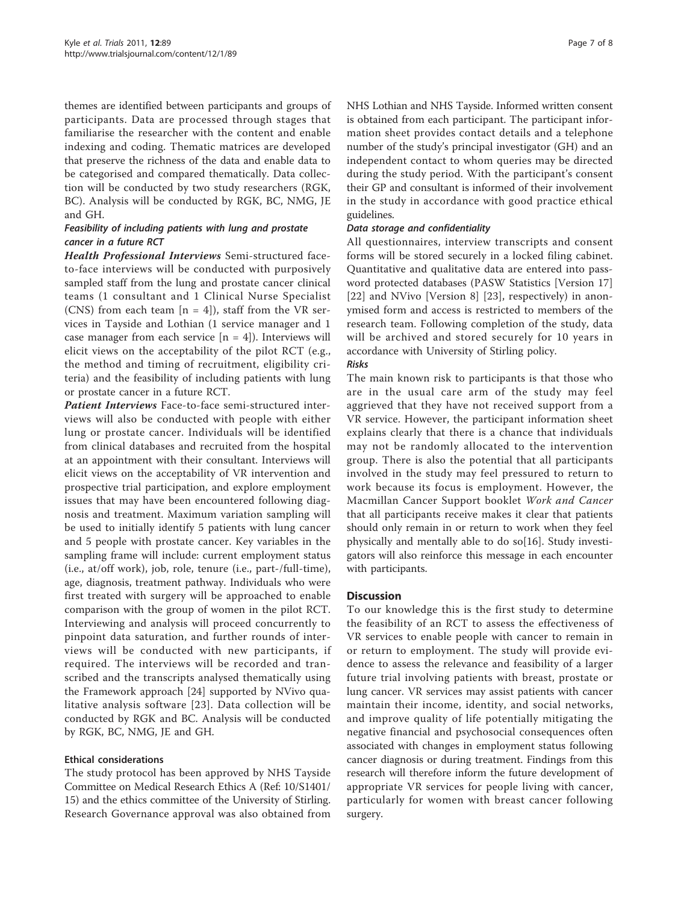themes are identified between participants and groups of participants. Data are processed through stages that familiarise the researcher with the content and enable indexing and coding. Thematic matrices are developed that preserve the richness of the data and enable data to be categorised and compared thematically. Data collection will be conducted by two study researchers (RGK, BC). Analysis will be conducted by RGK, BC, NMG, JE and GH.

# Feasibility of including patients with lung and prostate cancer in a future RCT

Health Professional Interviews Semi-structured faceto-face interviews will be conducted with purposively sampled staff from the lung and prostate cancer clinical teams (1 consultant and 1 Clinical Nurse Specialist (CNS) from each team  $[n = 4]$ ), staff from the VR services in Tayside and Lothian (1 service manager and 1 case manager from each service  $[n = 4]$ ). Interviews will elicit views on the acceptability of the pilot RCT (e.g., the method and timing of recruitment, eligibility criteria) and the feasibility of including patients with lung or prostate cancer in a future RCT.

Patient Interviews Face-to-face semi-structured interviews will also be conducted with people with either lung or prostate cancer. Individuals will be identified from clinical databases and recruited from the hospital at an appointment with their consultant. Interviews will elicit views on the acceptability of VR intervention and prospective trial participation, and explore employment issues that may have been encountered following diagnosis and treatment. Maximum variation sampling will be used to initially identify 5 patients with lung cancer and 5 people with prostate cancer. Key variables in the sampling frame will include: current employment status (i.e., at/off work), job, role, tenure (i.e., part-/full-time), age, diagnosis, treatment pathway. Individuals who were first treated with surgery will be approached to enable comparison with the group of women in the pilot RCT. Interviewing and analysis will proceed concurrently to pinpoint data saturation, and further rounds of interviews will be conducted with new participants, if required. The interviews will be recorded and transcribed and the transcripts analysed thematically using the Framework approach [[24\]](#page-7-0) supported by NVivo qualitative analysis software [[23\]](#page-7-0). Data collection will be conducted by RGK and BC. Analysis will be conducted by RGK, BC, NMG, JE and GH.

# Ethical considerations

The study protocol has been approved by NHS Tayside Committee on Medical Research Ethics A (Ref: 10/S1401/ 15) and the ethics committee of the University of Stirling. Research Governance approval was also obtained from NHS Lothian and NHS Tayside. Informed written consent is obtained from each participant. The participant information sheet provides contact details and a telephone number of the study's principal investigator (GH) and an independent contact to whom queries may be directed during the study period. With the participant's consent their GP and consultant is informed of their involvement in the study in accordance with good practice ethical guidelines.

# Data storage and confidentiality

All questionnaires, interview transcripts and consent forms will be stored securely in a locked filing cabinet. Quantitative and qualitative data are entered into password protected databases (PASW Statistics [Version 17] [[22](#page-7-0)] and NVivo [Version 8] [[23](#page-7-0)], respectively) in anonymised form and access is restricted to members of the research team. Following completion of the study, data will be archived and stored securely for 10 years in accordance with University of Stirling policy.

# Risks

The main known risk to participants is that those who are in the usual care arm of the study may feel aggrieved that they have not received support from a VR service. However, the participant information sheet explains clearly that there is a chance that individuals may not be randomly allocated to the intervention group. There is also the potential that all participants involved in the study may feel pressured to return to work because its focus is employment. However, the Macmillan Cancer Support booklet Work and Cancer that all participants receive makes it clear that patients should only remain in or return to work when they feel physically and mentally able to do so[[16\]](#page-7-0). Study investigators will also reinforce this message in each encounter with participants.

# **Discussion**

To our knowledge this is the first study to determine the feasibility of an RCT to assess the effectiveness of VR services to enable people with cancer to remain in or return to employment. The study will provide evidence to assess the relevance and feasibility of a larger future trial involving patients with breast, prostate or lung cancer. VR services may assist patients with cancer maintain their income, identity, and social networks, and improve quality of life potentially mitigating the negative financial and psychosocial consequences often associated with changes in employment status following cancer diagnosis or during treatment. Findings from this research will therefore inform the future development of appropriate VR services for people living with cancer, particularly for women with breast cancer following surgery.